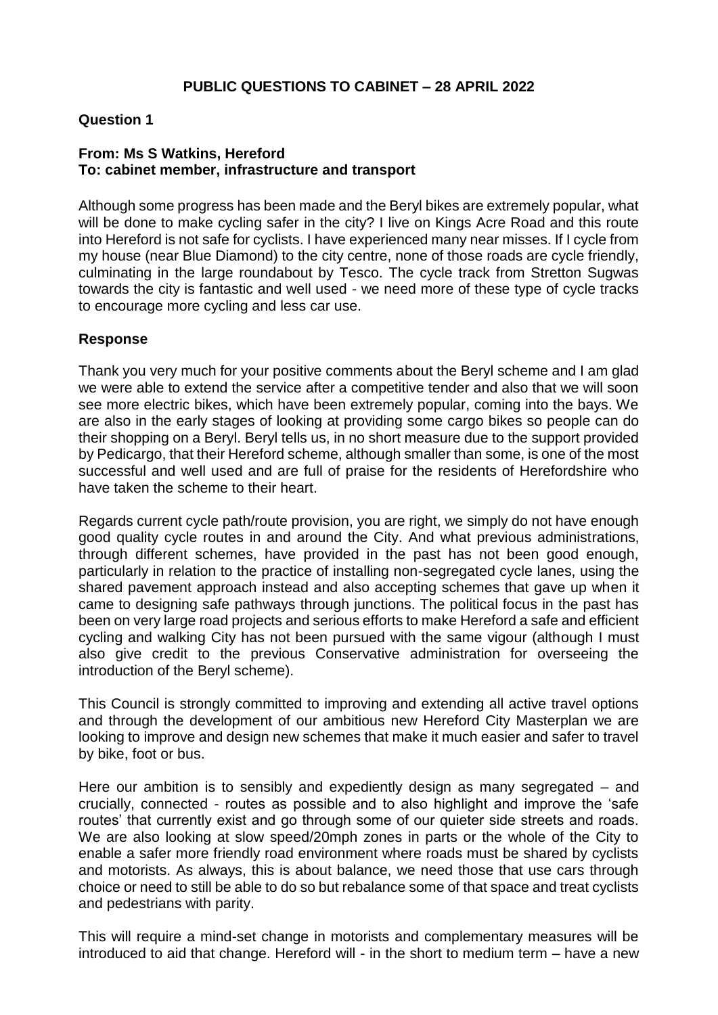# **Question 1**

### **From: Ms S Watkins, Hereford To: cabinet member, infrastructure and transport**

Although some progress has been made and the Beryl bikes are extremely popular, what will be done to make cycling safer in the city? I live on Kings Acre Road and this route into Hereford is not safe for cyclists. I have experienced many near misses. If I cycle from my house (near Blue Diamond) to the city centre, none of those roads are cycle friendly, culminating in the large roundabout by Tesco. The cycle track from Stretton Sugwas towards the city is fantastic and well used - we need more of these type of cycle tracks to encourage more cycling and less car use.

#### **Response**

Thank you very much for your positive comments about the Beryl scheme and I am glad we were able to extend the service after a competitive tender and also that we will soon see more electric bikes, which have been extremely popular, coming into the bays. We are also in the early stages of looking at providing some cargo bikes so people can do their shopping on a Beryl. Beryl tells us, in no short measure due to the support provided by Pedicargo, that their Hereford scheme, although smaller than some, is one of the most successful and well used and are full of praise for the residents of Herefordshire who have taken the scheme to their heart.

Regards current cycle path/route provision, you are right, we simply do not have enough good quality cycle routes in and around the City. And what previous administrations, through different schemes, have provided in the past has not been good enough, particularly in relation to the practice of installing non-segregated cycle lanes, using the shared pavement approach instead and also accepting schemes that gave up when it came to designing safe pathways through junctions. The political focus in the past has been on very large road projects and serious efforts to make Hereford a safe and efficient cycling and walking City has not been pursued with the same vigour (although I must also give credit to the previous Conservative administration for overseeing the introduction of the Beryl scheme).

This Council is strongly committed to improving and extending all active travel options and through the development of our ambitious new Hereford City Masterplan we are looking to improve and design new schemes that make it much easier and safer to travel by bike, foot or bus.

Here our ambition is to sensibly and expediently design as many segregated – and crucially, connected - routes as possible and to also highlight and improve the 'safe routes' that currently exist and go through some of our quieter side streets and roads. We are also looking at slow speed/20mph zones in parts or the whole of the City to enable a safer more friendly road environment where roads must be shared by cyclists and motorists. As always, this is about balance, we need those that use cars through choice or need to still be able to do so but rebalance some of that space and treat cyclists and pedestrians with parity.

This will require a mind-set change in motorists and complementary measures will be introduced to aid that change. Hereford will - in the short to medium term – have a new